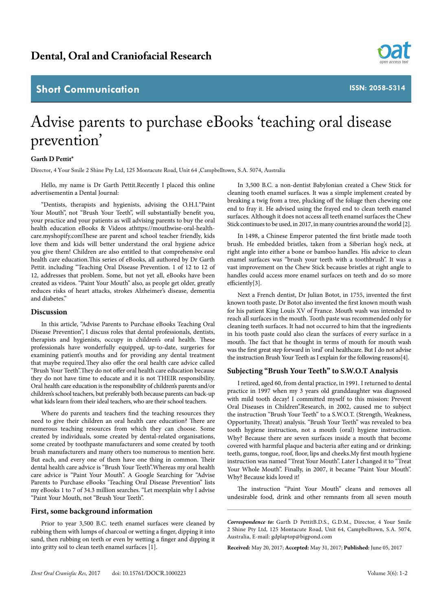## **Short Communication**

**ISSN: 2058-5314**

# Advise parents to purchase eBooks 'teaching oral disease prevention'

#### **Garth D Pettit\***

Director, 4 Your Smile 2 Shine Pty Ltd, 125 Montacute Road, Unit 64 ,Campbelltown, S.A. 5074, Australia

Hello, my name is Dr Garth Pettit.Recently I placed this online advertisementin a Dental Journal:

"Dentists, therapists and hygienists, advising the O.H.I."Paint Your Mouth", not "Brush Your Teeth", will substantially benefit you, your practice and your patients as will advising parents to buy the oral health education eBooks & Videos a[thttps://mouthwise-oral-health](https://mouthwise-oral-health-care.myshopify.com)[care.myshopify.com](https://mouthwise-oral-health-care.myshopify.com)These are parent and school teacher friendly, kids love them and kids will better understand the oral hygiene advice you give them! Children are also entitled to that comprehensive oral health care education.This series of eBooks, all authored by Dr Garth Pettit. including "Teaching Oral Disease Prevention. 1 of 12 to 12 of 12, addresses that problem. Some, but not yet all, eBooks have been created as videos. "Paint Your Mouth" also, as people get older, greatly reduces risks of heart attacks, strokes Alzheimer's disease, dementia and diabetes."

#### **Discussion**

In this article, "Advise Parents to Purchase eBooks Teaching Oral Disease Prevention", I discuss roles that dental professionals, dentists, therapists and hygienists, occupy in children's oral health. These professionals have wonderfully equipped, up-to-date, surgeries for examining patient's mouths and for providing any dental treatment that maybe required.They also offer the oral health care advice called "Brush Your Teeth".They do not offer oral health care education because they do not have time to educate and it is not THEIR responsibility. Oral health care education is the responsibility of children's parents and/or children's school teachers, but preferably both because parents can back-up what kids learn from their ideal teachers, who are their school teachers.

Where do parents and teachers find the teaching resources they need to give their children an oral health care education? There are numerous teaching resources from which they can choose. Some created by individuals, some created by dental-related organisations, some created by toothpaste manufacturers and some created by tooth brush manufacturers and many others too numerous to mention here. But each, and every one of them have one thing in common. Their dental health care advice is "Brush Your Teeth".Whereas my oral health care advice is "Paint Your Mouth". A Google Searching for "Advise Parents to Purchase eBooks 'Teaching Oral Disease Prevention" lists my eBooks 1 to 7 of 34.3 million searches. "Let meexplain why I advise "Paint Your Mouth, not "Brush Your Teeth".

#### **First, some background information**

Prior to year 3,500 B.C. teeth enamel surfaces were cleaned by rubbing them with lumps of charcoal or wetting a finger, dipping it into sand, then rubbing on teeth or even by wetting a finger and dipping it into gritty soil to clean teeth enamel surfaces [1].

In 3,500 B.C. a non-dentist Babylonian created a Chew Stick for cleaning tooth enamel surfaces. It was a simple implement created by breaking a twig from a tree, plucking off the foliage then chewing one end to fray it. He advised using the frayed end to clean teeth enamel surfaces. Although it does not access all teeth enamel surfaces the Chew Stick continues to be used, in 2017, in many countries around the world [2].

In 1498, a Chinese Emperor patented the first bristle made tooth brush. He embedded bristles, taken from a Siberian hog's neck, at right angle into either a bone or bamboo handles. His advice to clean enamel surfaces was "brush your teeth with a toothbrush". It was a vast improvement on the Chew Stick because bristles at right angle to handles could access more enamel surfaces on teeth and do so more efficiently[3].

Next a French dentist, Dr Julian Botot, in 1755, invented the first known tooth paste. Dr Botot also invented the first known mouth wash for his patient King Louis XV of France. Mouth wash was intended to reach all surfaces in the mouth. Tooth paste was recommended only for cleaning teeth surfaces. It had not occurred to him that the ingredients in his tooth paste could also clean the surfaces of every surface in a mouth. The fact that he thought in terms of mouth for mouth wash was the first great step forward in 'oral' oral healthcare. But I do not advise the instruction Brush Your Teeth as I explain for the following reasons[4].

### **Subjecting "Brush Your Teeth" to S.W.O.T Analysis**

I retired, aged 60, from dental practice, in 1991. I returned to dental practice in 1997 when my 3 years old granddaughter was diagnosed with mild tooth decay! I committed myself to this mission: Prevent Oral Diseases in Children".Research, in 2002, caused me to subject the instruction "Brush Your Teeth" to a S.W.O.T. (Strength, Weakness, Opportunity, Threat) analysis. "Brush Your Teeth" was revealed to bea tooth hygiene instruction, not a mouth (oral) hygiene instruction. Why? Because there are seven surfaces inside a mouth that become covered with harmful plaque and bacteria after eating and or drinking; teeth, gums, tongue, roof, floor, lips and cheeks.My first mouth hygiene instruction was named "Treat Your Mouth". Later I changed it to "Treat Your Whole Mouth". Finally, in 2007, it became "Paint Your Mouth". Why? Because kids loved it!

The instruction "Paint Your Mouth" cleans and removes all undesirable food, drink and other remnants from all seven mouth

*Correspondence to:* Garth D PettitB.D.S., G.D.M., Director, 4 Your Smile 2 Shine Pty Ltd, 125 Montacute Road, Unit 64, Campbelltown, S.A. 5074, Australia, E-mail: gdplaptop@bigpond.com

**Received:** May 20, 2017; **Accepted:** May 31, 2017; **Published:** June 05, 2017